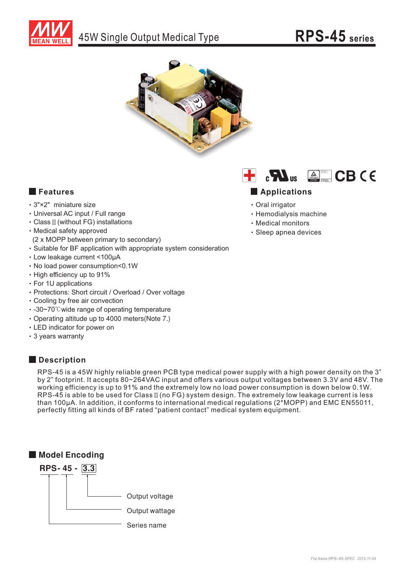





- -3"×2" miniature size
- -Universal AC input / Full range
- $\cdot$  Class  $\mathbb I$  (without FG) installations
- -Medical safety approved
- (2 x MOPP between primary to secondary)
- -Suitable for BF application with appropriate system consideration
- Low leakage current <100µA
- -No load power consumption<0.1W
- -High efficiency up to 91%
- -For 1U applications
- -Protections: Short circuit / Overload / Over voltage
- -Cooling by free air convection
- · -30~70℃ wide range of operating temperature
- Operating altitude up to 4000 meters(Note 7.)
- -LED indicator for power on
- -3 years warranty

# **Description**

RPS-45 is a 45W highly reliable green PCB type medical power supply with a high power density on the 3" by 2" footprint. It accepts 80~264VAC input and offers various output voltages between 3.3V and 48V. The working efficiency is up to 91% and the extremely low no load power consumption is down below 0.1W.  $RPS-45$  is able to be used for Class  $\mathbb{I}$  (no FG) system design. The extremely low leakage current is less than 100 $\mu$ A. In addition, it conforms to international medical regulations ( $2*MOPP$ ) and EMC EN55011, perfectly fitting all kinds of BF rated "patient contact" medical system equipment.





## **Applications**

- -Oral irrigator
- -Hemodialysis machine
- -Medical monitors
- -Sleep apnea devices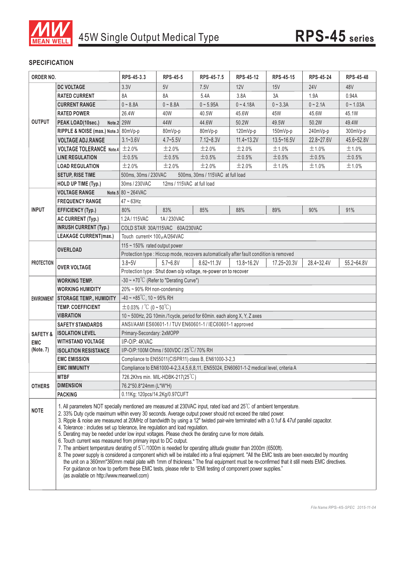

### **SPECIFICATION**

| ORDER NO.           |                                                                                                                                                                                                                                                                                                                                                                                                                                                                                                                                                                                                                                                                                                                                                                                                                                                                                                                                                                                                                                                                                                                                                                                                                                   | RPS-45-3.3                                                                             | <b>RPS-45-5</b>              | RPS-45-7.5                                                      | RPS-45-12      | RPS-45-15   | <b>RPS-45-24</b> | RPS-45-48   |  |  |
|---------------------|-----------------------------------------------------------------------------------------------------------------------------------------------------------------------------------------------------------------------------------------------------------------------------------------------------------------------------------------------------------------------------------------------------------------------------------------------------------------------------------------------------------------------------------------------------------------------------------------------------------------------------------------------------------------------------------------------------------------------------------------------------------------------------------------------------------------------------------------------------------------------------------------------------------------------------------------------------------------------------------------------------------------------------------------------------------------------------------------------------------------------------------------------------------------------------------------------------------------------------------|----------------------------------------------------------------------------------------|------------------------------|-----------------------------------------------------------------|----------------|-------------|------------------|-------------|--|--|
|                     | <b>DC VOLTAGE</b>                                                                                                                                                                                                                                                                                                                                                                                                                                                                                                                                                                                                                                                                                                                                                                                                                                                                                                                                                                                                                                                                                                                                                                                                                 | 3.3V                                                                                   | 5V                           | 7.5V                                                            | 12V            | 15V         | <b>24V</b>       | 48V         |  |  |
|                     | <b>RATED CURRENT</b>                                                                                                                                                                                                                                                                                                                                                                                                                                                                                                                                                                                                                                                                                                                                                                                                                                                                                                                                                                                                                                                                                                                                                                                                              | 8A                                                                                     | 8A                           | 5.4A                                                            | 3.8A           | 3A          | 1.9A             | 0.94A       |  |  |
|                     | <b>CURRENT RANGE</b>                                                                                                                                                                                                                                                                                                                                                                                                                                                                                                                                                                                                                                                                                                                                                                                                                                                                                                                                                                                                                                                                                                                                                                                                              | $0 - 8.8A$                                                                             | $0 - 8.8A$                   | $0 - 5.95A$                                                     | $0 - 4.18A$    | $0 - 3.3A$  | $0 - 2.1A$       | $0 - 1.03A$ |  |  |
|                     | <b>RATED POWER</b>                                                                                                                                                                                                                                                                                                                                                                                                                                                                                                                                                                                                                                                                                                                                                                                                                                                                                                                                                                                                                                                                                                                                                                                                                | 26.4W                                                                                  | 40W                          | 40.5W                                                           | 45.6W          | 45W         | 45.6W            | 45.1W       |  |  |
| <b>OUTPUT</b>       | Note.2 29W<br>PEAK LOAD(10sec.)                                                                                                                                                                                                                                                                                                                                                                                                                                                                                                                                                                                                                                                                                                                                                                                                                                                                                                                                                                                                                                                                                                                                                                                                   |                                                                                        | 44W                          | 44.6W                                                           | 50.2W          | 49.5W       | 50.2W            | 49.4W       |  |  |
|                     | RIPPLE & NOISE (max.) Note.3 80mVp-p                                                                                                                                                                                                                                                                                                                                                                                                                                                                                                                                                                                                                                                                                                                                                                                                                                                                                                                                                                                                                                                                                                                                                                                              |                                                                                        | 80mVp-p                      | 80mVp-p                                                         | $120mVp-p$     | 150mVp-p    | 240mVp-p         | 300mVp-p    |  |  |
|                     | <b>VOLTAGE ADJ.RANGE</b>                                                                                                                                                                                                                                                                                                                                                                                                                                                                                                                                                                                                                                                                                                                                                                                                                                                                                                                                                                                                                                                                                                                                                                                                          | $3.1 - 3.6V$                                                                           | $4.7 - 5.5V$                 | $7.12 - 8.3V$                                                   | $11.4 - 13.2V$ | 13.5~16.5V  | 22.8~27.6V       | 45.6~52.8V  |  |  |
|                     | <b>VOLTAGE TOLERANCE Note.4</b>                                                                                                                                                                                                                                                                                                                                                                                                                                                                                                                                                                                                                                                                                                                                                                                                                                                                                                                                                                                                                                                                                                                                                                                                   | ±2.0%                                                                                  | ±2.0%                        | ±2.0%                                                           | ±2.0%          | ±1.0%       | ±1.0%            | ±1.0%       |  |  |
|                     | <b>LINE REGULATION</b>                                                                                                                                                                                                                                                                                                                                                                                                                                                                                                                                                                                                                                                                                                                                                                                                                                                                                                                                                                                                                                                                                                                                                                                                            | ±0.5%                                                                                  | $\pm$ 0.5%                   | ±0.5%                                                           | ±0.5%          | ±0.5%       | ±0.5%            | ±0.5%       |  |  |
|                     | <b>LOAD REGULATION</b>                                                                                                                                                                                                                                                                                                                                                                                                                                                                                                                                                                                                                                                                                                                                                                                                                                                                                                                                                                                                                                                                                                                                                                                                            | ±2.0%                                                                                  | ±2.0%                        | ±2.0%                                                           | ±2.0%          | ±1.0%       | ±1.0%            | ±1.0%       |  |  |
|                     | <b>SETUP, RISE TIME</b>                                                                                                                                                                                                                                                                                                                                                                                                                                                                                                                                                                                                                                                                                                                                                                                                                                                                                                                                                                                                                                                                                                                                                                                                           | 500ms, 30ms / 230VAC                                                                   |                              | 500ms, 30ms / 115VAC at full load                               |                |             |                  |             |  |  |
|                     | HOLD UP TIME (Typ.)                                                                                                                                                                                                                                                                                                                                                                                                                                                                                                                                                                                                                                                                                                                                                                                                                                                                                                                                                                                                                                                                                                                                                                                                               | 30ms / 230VAC<br>12ms / 115VAC at full load                                            |                              |                                                                 |                |             |                  |             |  |  |
|                     | <b>VOLTAGE RANGE</b>                                                                                                                                                                                                                                                                                                                                                                                                                                                                                                                                                                                                                                                                                                                                                                                                                                                                                                                                                                                                                                                                                                                                                                                                              | Note.5 $80 \sim 264$ VAC                                                               |                              |                                                                 |                |             |                  |             |  |  |
|                     | <b>FREQUENCY RANGE</b>                                                                                                                                                                                                                                                                                                                                                                                                                                                                                                                                                                                                                                                                                                                                                                                                                                                                                                                                                                                                                                                                                                                                                                                                            | $47 \sim 63$ Hz                                                                        |                              |                                                                 |                |             |                  |             |  |  |
| <b>INPUT</b>        | <b>EFFICIENCY (Typ.)</b>                                                                                                                                                                                                                                                                                                                                                                                                                                                                                                                                                                                                                                                                                                                                                                                                                                                                                                                                                                                                                                                                                                                                                                                                          | 80%                                                                                    | 83%                          | 85%                                                             | 88%            | 89%         | 90%              | 91%         |  |  |
|                     | <b>AC CURRENT (Typ.)</b>                                                                                                                                                                                                                                                                                                                                                                                                                                                                                                                                                                                                                                                                                                                                                                                                                                                                                                                                                                                                                                                                                                                                                                                                          | 1.2A/115VAC                                                                            | 1A/230VAC                    |                                                                 |                |             |                  |             |  |  |
|                     | <b>INRUSH CURRENT (Typ.)</b>                                                                                                                                                                                                                                                                                                                                                                                                                                                                                                                                                                                                                                                                                                                                                                                                                                                                                                                                                                                                                                                                                                                                                                                                      | COLD STAR 30A/115VAC 60A/230VAC                                                        |                              |                                                                 |                |             |                  |             |  |  |
|                     | <b>LEAKAGE CURRENT(max.)</b>                                                                                                                                                                                                                                                                                                                                                                                                                                                                                                                                                                                                                                                                                                                                                                                                                                                                                                                                                                                                                                                                                                                                                                                                      |                                                                                        | Touch current< 100 uA/264VAC |                                                                 |                |             |                  |             |  |  |
|                     |                                                                                                                                                                                                                                                                                                                                                                                                                                                                                                                                                                                                                                                                                                                                                                                                                                                                                                                                                                                                                                                                                                                                                                                                                                   | 115 $\sim$ 150% rated output power                                                     |                              |                                                                 |                |             |                  |             |  |  |
|                     | <b>OVERLOAD</b>                                                                                                                                                                                                                                                                                                                                                                                                                                                                                                                                                                                                                                                                                                                                                                                                                                                                                                                                                                                                                                                                                                                                                                                                                   | Protection type : Hiccup mode, recovers automatically after fault condition is removed |                              |                                                                 |                |             |                  |             |  |  |
| <b>PROTECTION</b>   |                                                                                                                                                                                                                                                                                                                                                                                                                                                                                                                                                                                                                                                                                                                                                                                                                                                                                                                                                                                                                                                                                                                                                                                                                                   | $3.8 - 5V$                                                                             | $5.7 - 6.8V$                 | $8.62 - 11.3V$                                                  | 13.8~16.2V     | 17.25~20.3V | 28.4~32.4V       | 55.2~64.8V  |  |  |
|                     | <b>OVER VOLTAGE</b>                                                                                                                                                                                                                                                                                                                                                                                                                                                                                                                                                                                                                                                                                                                                                                                                                                                                                                                                                                                                                                                                                                                                                                                                               |                                                                                        |                              | Protection type : Shut down o/p voltage, re-power on to recover |                |             |                  |             |  |  |
|                     | WORKING TEMP.                                                                                                                                                                                                                                                                                                                                                                                                                                                                                                                                                                                                                                                                                                                                                                                                                                                                                                                                                                                                                                                                                                                                                                                                                     | -30 ~ +70 $\degree$ C (Refer to "Derating Curve")                                      |                              |                                                                 |                |             |                  |             |  |  |
|                     | <b>WORKING HUMIDITY</b>                                                                                                                                                                                                                                                                                                                                                                                                                                                                                                                                                                                                                                                                                                                                                                                                                                                                                                                                                                                                                                                                                                                                                                                                           | 20% ~ 90% RH non-condensing                                                            |                              |                                                                 |                |             |                  |             |  |  |
|                     | ENVIRONMENT STORAGE TEMP., HUMIDITY                                                                                                                                                                                                                                                                                                                                                                                                                                                                                                                                                                                                                                                                                                                                                                                                                                                                                                                                                                                                                                                                                                                                                                                               | $-40 \sim +85^{\circ}$ C, 10 ~ 95% RH                                                  |                              |                                                                 |                |             |                  |             |  |  |
|                     | <b>TEMP. COEFFICIENT</b>                                                                                                                                                                                                                                                                                                                                                                                                                                                                                                                                                                                                                                                                                                                                                                                                                                                                                                                                                                                                                                                                                                                                                                                                          | $\pm$ 0.03% / °C (0~50°C)                                                              |                              |                                                                 |                |             |                  |             |  |  |
|                     | <b>VIBRATION</b>                                                                                                                                                                                                                                                                                                                                                                                                                                                                                                                                                                                                                                                                                                                                                                                                                                                                                                                                                                                                                                                                                                                                                                                                                  | 10 ~ 500Hz, 2G 10min./1cycle, period for 60min. each along X, Y, Z axes                |                              |                                                                 |                |             |                  |             |  |  |
|                     | <b>SAFETY STANDARDS</b>                                                                                                                                                                                                                                                                                                                                                                                                                                                                                                                                                                                                                                                                                                                                                                                                                                                                                                                                                                                                                                                                                                                                                                                                           | ANSI/AAMI ES60601-1 / TUV EN60601-1 / IEC60601-1 approved                              |                              |                                                                 |                |             |                  |             |  |  |
| <b>SAFETY &amp;</b> | <b>ISOLATION LEVEL</b>                                                                                                                                                                                                                                                                                                                                                                                                                                                                                                                                                                                                                                                                                                                                                                                                                                                                                                                                                                                                                                                                                                                                                                                                            | Primary-Secondary: 2xMOPP                                                              |                              |                                                                 |                |             |                  |             |  |  |
| <b>EMC</b>          | <b>WITHSTAND VOLTAGE</b>                                                                                                                                                                                                                                                                                                                                                                                                                                                                                                                                                                                                                                                                                                                                                                                                                                                                                                                                                                                                                                                                                                                                                                                                          | $I/P$ -O/P: $4KVAC$                                                                    |                              |                                                                 |                |             |                  |             |  |  |
| (Note. 7)           | <b>ISOLATION RESISTANCE</b>                                                                                                                                                                                                                                                                                                                                                                                                                                                                                                                                                                                                                                                                                                                                                                                                                                                                                                                                                                                                                                                                                                                                                                                                       | I/P-O/P:100M Ohms / 500VDC / 25°C / 70% RH                                             |                              |                                                                 |                |             |                  |             |  |  |
|                     | <b>EMC EMISSION</b>                                                                                                                                                                                                                                                                                                                                                                                                                                                                                                                                                                                                                                                                                                                                                                                                                                                                                                                                                                                                                                                                                                                                                                                                               | Compliance to EN55011(CISPR11) class B, EN61000-3-2,3                                  |                              |                                                                 |                |             |                  |             |  |  |
|                     | <b>EMC IMMUNITY</b>                                                                                                                                                                                                                                                                                                                                                                                                                                                                                                                                                                                                                                                                                                                                                                                                                                                                                                                                                                                                                                                                                                                                                                                                               | Compliance to EN61000-4-2,3,4,5,6,8,11, EN55024, EN60601-1-2 medical level, criteria A |                              |                                                                 |                |             |                  |             |  |  |
|                     | <b>MTBF</b>                                                                                                                                                                                                                                                                                                                                                                                                                                                                                                                                                                                                                                                                                                                                                                                                                                                                                                                                                                                                                                                                                                                                                                                                                       | 726.2Khrs min. MIL-HDBK-217(25°C)                                                      |                              |                                                                 |                |             |                  |             |  |  |
| <b>OTHERS</b>       | <b>DIMENSION</b>                                                                                                                                                                                                                                                                                                                                                                                                                                                                                                                                                                                                                                                                                                                                                                                                                                                                                                                                                                                                                                                                                                                                                                                                                  | 76.2*50.8*24mm (L*W*H)                                                                 |                              |                                                                 |                |             |                  |             |  |  |
|                     | <b>PACKING</b>                                                                                                                                                                                                                                                                                                                                                                                                                                                                                                                                                                                                                                                                                                                                                                                                                                                                                                                                                                                                                                                                                                                                                                                                                    | 0.11Kg; 120pcs/14.2Kg/0.97CUFT                                                         |                              |                                                                 |                |             |                  |             |  |  |
| <b>NOTE</b>         | 1. All parameters NOT specially mentioned are measured at 230VAC input, rated load and 25°C of ambient temperature.<br>2. 33% Duty cycle maximum within every 30 seconds. Average output power should not exceed the rated power.<br>3. Ripple & noise are measured at 20MHz of bandwidth by using a 12" twisted pair-wire terminated with a 0.1uf & 47uf parallel capacitor.<br>4. Tolerance : includes set up tolerance, line regulation and load regulation.<br>5. Derating may be needed under low input voltages. Please check the derating curve for more details.<br>6. Touch current was measured from primary input to DC output.<br>7. The ambient temperature derating of $5^{\circ}$ C/1000m is needed for operating altitude greater than 2000m (6500ft).<br>8. The power supply is considered a component which will be installed into a final equipment. "All the EMC tests are been executed by mounting<br>the unit on a 360mm*360mm metal plate with 1mm of thickness." The final equipment must be re-confirmed that it still meets EMC directives.<br>For guidance on how to perform these EMC tests, please refer to "EMI testing of component power supplies."<br>(as available on http://www.meanwell.com) |                                                                                        |                              |                                                                 |                |             |                  |             |  |  |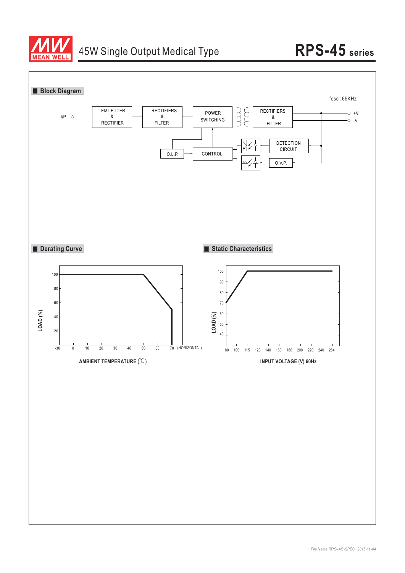